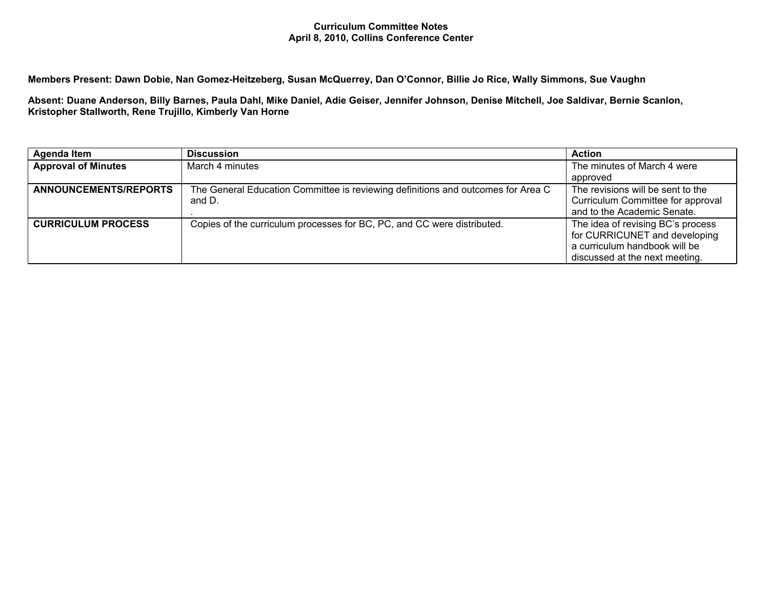## **Curriculum Committee Notes April 8, 2010, Collins Conference Center**

Members Present: Dawn Dobie, Nan Gomez-Heitzeberg, Susan McQuerrey, Dan O'Connor, Billie Jo Rice, Wally Simmons, Sue Vaughn

Absent: Duane Anderson, Billy Barnes, Paula Dahl, Mike Daniel, Adie Geiser, Jennifer Johnson, Denise Mitchell, Joe Saldivar, Bernie Scanlon, **Kristopher Stallworth, Rene Trujillo, Kimberly Van Horne**

| Agenda Item                | <b>Discussion</b>                                                                          | <b>Action</b>                                                                                                                         |
|----------------------------|--------------------------------------------------------------------------------------------|---------------------------------------------------------------------------------------------------------------------------------------|
| <b>Approval of Minutes</b> | March 4 minutes                                                                            | The minutes of March 4 were                                                                                                           |
|                            |                                                                                            | approved                                                                                                                              |
| ANNOUNCEMENTS/REPORTS      | The General Education Committee is reviewing definitions and outcomes for Area C<br>and D. | The revisions will be sent to the<br>Curriculum Committee for approval<br>and to the Academic Senate.                                 |
| <b>CURRICULUM PROCESS</b>  | Copies of the curriculum processes for BC, PC, and CC were distributed.                    | The idea of revising BC's process<br>for CURRICUNET and developing<br>a curriculum handbook will be<br>discussed at the next meeting. |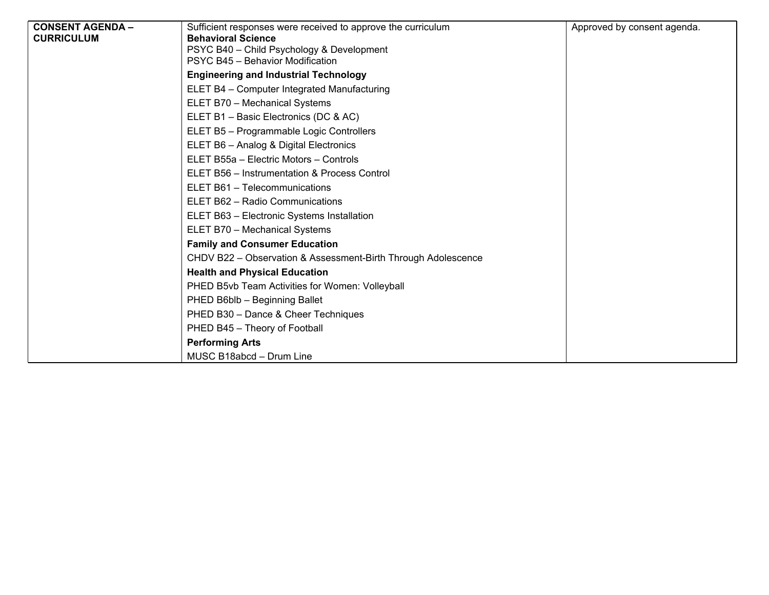| <b>CONSENT AGENDA -</b><br><b>CURRICULUM</b> | Sufficient responses were received to approve the curriculum<br><b>Behavioral Science</b> | Approved by consent agenda. |
|----------------------------------------------|-------------------------------------------------------------------------------------------|-----------------------------|
|                                              | PSYC B40 - Child Psychology & Development<br>PSYC B45 - Behavior Modification             |                             |
|                                              | <b>Engineering and Industrial Technology</b>                                              |                             |
|                                              | ELET B4 - Computer Integrated Manufacturing                                               |                             |
|                                              | ELET B70 - Mechanical Systems                                                             |                             |
|                                              | ELET B1 - Basic Electronics (DC & AC)                                                     |                             |
|                                              | ELET B5 - Programmable Logic Controllers                                                  |                             |
|                                              | ELET B6 - Analog & Digital Electronics                                                    |                             |
|                                              | ELET B55a - Electric Motors - Controls                                                    |                             |
|                                              | ELET B56 - Instrumentation & Process Control                                              |                             |
|                                              | ELET B61 - Telecommunications                                                             |                             |
|                                              | ELET B62 - Radio Communications                                                           |                             |
|                                              | ELET B63 - Electronic Systems Installation                                                |                             |
|                                              | ELET B70 - Mechanical Systems                                                             |                             |
|                                              | <b>Family and Consumer Education</b>                                                      |                             |
|                                              | CHDV B22 - Observation & Assessment-Birth Through Adolescence                             |                             |
|                                              | <b>Health and Physical Education</b>                                                      |                             |
|                                              | PHED B5vb Team Activities for Women: Volleyball                                           |                             |
|                                              | PHED B6blb - Beginning Ballet                                                             |                             |
|                                              | PHED B30 - Dance & Cheer Techniques                                                       |                             |
|                                              | PHED B45 - Theory of Football                                                             |                             |
|                                              | <b>Performing Arts</b>                                                                    |                             |
|                                              | MUSC B18abcd - Drum Line                                                                  |                             |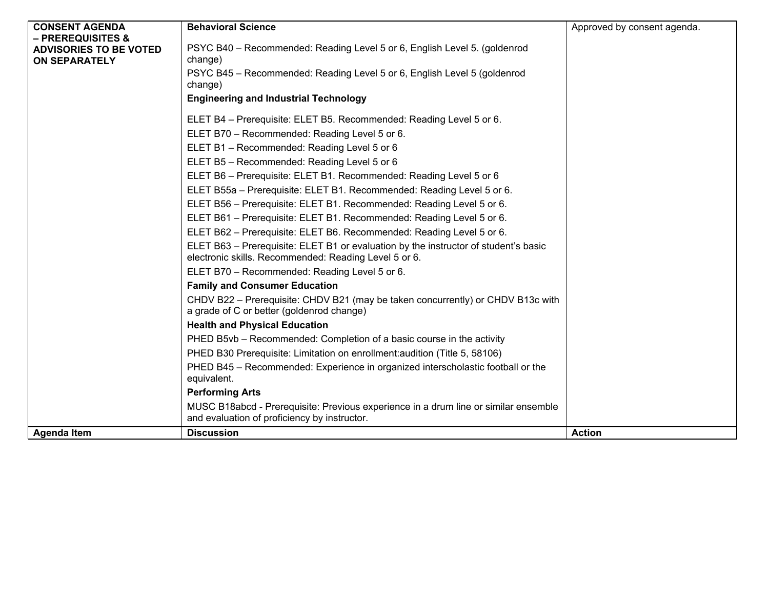| <b>CONSENT AGENDA</b>                                 | <b>Behavioral Science</b>                                                                                                                    | Approved by consent agenda. |
|-------------------------------------------------------|----------------------------------------------------------------------------------------------------------------------------------------------|-----------------------------|
| <b>– PREREQUISITES &amp;</b>                          |                                                                                                                                              |                             |
| <b>ADVISORIES TO BE VOTED</b><br><b>ON SEPARATELY</b> | PSYC B40 - Recommended: Reading Level 5 or 6, English Level 5. (goldenrod<br>change)                                                         |                             |
|                                                       | PSYC B45 - Recommended: Reading Level 5 or 6, English Level 5 (goldenrod<br>change)                                                          |                             |
|                                                       | <b>Engineering and Industrial Technology</b>                                                                                                 |                             |
|                                                       | ELET B4 - Prerequisite: ELET B5. Recommended: Reading Level 5 or 6.                                                                          |                             |
|                                                       | ELET B70 - Recommended: Reading Level 5 or 6.                                                                                                |                             |
|                                                       | ELET B1 - Recommended: Reading Level 5 or 6                                                                                                  |                             |
|                                                       | ELET B5 - Recommended: Reading Level 5 or 6                                                                                                  |                             |
|                                                       | ELET B6 - Prerequisite: ELET B1. Recommended: Reading Level 5 or 6                                                                           |                             |
|                                                       | ELET B55a - Prerequisite: ELET B1. Recommended: Reading Level 5 or 6.                                                                        |                             |
|                                                       | ELET B56 - Prerequisite: ELET B1. Recommended: Reading Level 5 or 6.                                                                         |                             |
|                                                       | ELET B61 - Prerequisite: ELET B1. Recommended: Reading Level 5 or 6.                                                                         |                             |
|                                                       | ELET B62 - Prerequisite: ELET B6. Recommended: Reading Level 5 or 6.                                                                         |                             |
|                                                       | ELET B63 - Prerequisite: ELET B1 or evaluation by the instructor of student's basic<br>electronic skills. Recommended: Reading Level 5 or 6. |                             |
|                                                       | ELET B70 - Recommended: Reading Level 5 or 6.                                                                                                |                             |
|                                                       | <b>Family and Consumer Education</b>                                                                                                         |                             |
|                                                       | CHDV B22 - Prerequisite: CHDV B21 (may be taken concurrently) or CHDV B13c with<br>a grade of C or better (goldenrod change)                 |                             |
|                                                       | <b>Health and Physical Education</b>                                                                                                         |                             |
|                                                       | PHED B5vb - Recommended: Completion of a basic course in the activity                                                                        |                             |
|                                                       | PHED B30 Prerequisite: Limitation on enrollment: audition (Title 5, 58106)                                                                   |                             |
|                                                       | PHED B45 - Recommended: Experience in organized interscholastic football or the                                                              |                             |
|                                                       | equivalent.                                                                                                                                  |                             |
|                                                       | <b>Performing Arts</b>                                                                                                                       |                             |
|                                                       | MUSC B18abcd - Prerequisite: Previous experience in a drum line or similar ensemble<br>and evaluation of proficiency by instructor.          |                             |
| Agenda Item                                           | <b>Discussion</b>                                                                                                                            | <b>Action</b>               |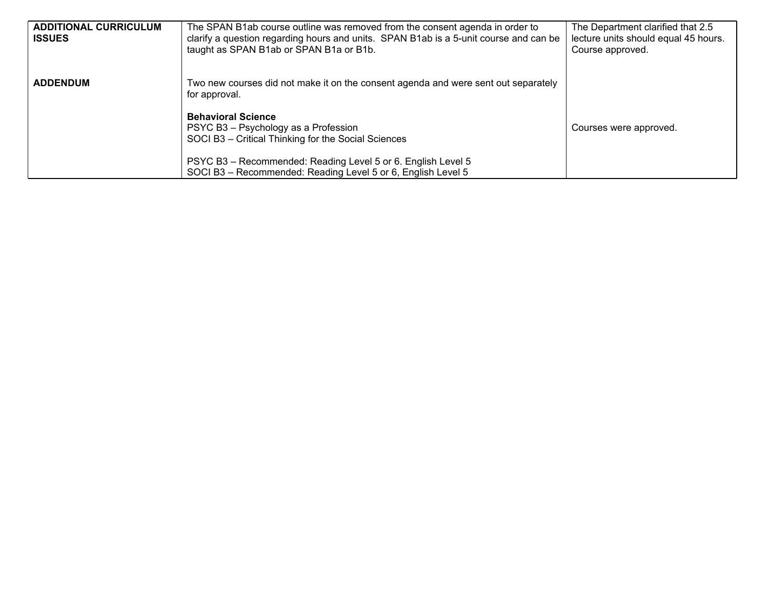| <b>ADDITIONAL CURRICULUM</b><br><b>ISSUES</b> | The SPAN B1ab course outline was removed from the consent agenda in order to<br>clarify a question regarding hours and units. SPAN B1ab is a 5-unit course and can be<br>taught as SPAN B1ab or SPAN B1a or B1b. | The Department clarified that 2.5<br>lecture units should equal 45 hours.<br>Course approved. |
|-----------------------------------------------|------------------------------------------------------------------------------------------------------------------------------------------------------------------------------------------------------------------|-----------------------------------------------------------------------------------------------|
| <b>ADDENDUM</b>                               | Two new courses did not make it on the consent agenda and were sent out separately<br>for approval.                                                                                                              |                                                                                               |
|                                               | <b>Behavioral Science</b><br>PSYC B3 - Psychology as a Profession<br>SOCI B3 - Critical Thinking for the Social Sciences                                                                                         | Courses were approved.                                                                        |
|                                               | PSYC B3 - Recommended: Reading Level 5 or 6. English Level 5<br>SOCI B3 - Recommended: Reading Level 5 or 6, English Level 5                                                                                     |                                                                                               |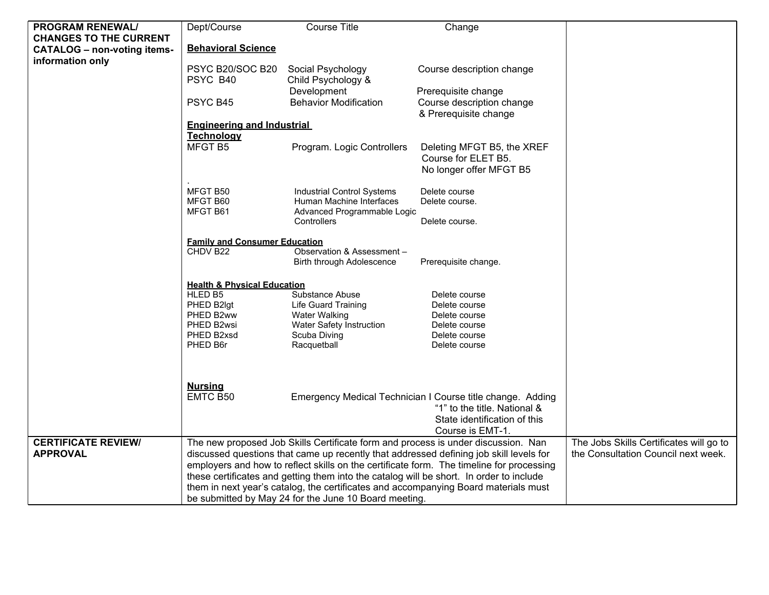| <b>PROGRAM RENEWAL/</b>            | Dept/Course                                                                                                                                                                                                                                                             | <b>Course Title</b>                                                                          | Change                                                                                                                                         |                                         |
|------------------------------------|-------------------------------------------------------------------------------------------------------------------------------------------------------------------------------------------------------------------------------------------------------------------------|----------------------------------------------------------------------------------------------|------------------------------------------------------------------------------------------------------------------------------------------------|-----------------------------------------|
| <b>CHANGES TO THE CURRENT</b>      |                                                                                                                                                                                                                                                                         |                                                                                              |                                                                                                                                                |                                         |
| <b>CATALOG - non-voting items-</b> | <b>Behavioral Science</b>                                                                                                                                                                                                                                               |                                                                                              |                                                                                                                                                |                                         |
| information only                   |                                                                                                                                                                                                                                                                         |                                                                                              |                                                                                                                                                |                                         |
|                                    | PSYC B20/SOC B20                                                                                                                                                                                                                                                        | Social Psychology                                                                            | Course description change                                                                                                                      |                                         |
|                                    | PSYC B40                                                                                                                                                                                                                                                                | Child Psychology &                                                                           |                                                                                                                                                |                                         |
|                                    |                                                                                                                                                                                                                                                                         | Development                                                                                  | Prerequisite change                                                                                                                            |                                         |
|                                    | PSYC B45                                                                                                                                                                                                                                                                | <b>Behavior Modification</b>                                                                 | Course description change<br>& Prerequisite change                                                                                             |                                         |
|                                    | <b>Engineering and Industrial</b>                                                                                                                                                                                                                                       |                                                                                              |                                                                                                                                                |                                         |
|                                    | Technology                                                                                                                                                                                                                                                              |                                                                                              |                                                                                                                                                |                                         |
|                                    | MFGT B5                                                                                                                                                                                                                                                                 | Program. Logic Controllers                                                                   | Deleting MFGT B5, the XREF<br>Course for ELET B5.<br>No longer offer MFGT B5                                                                   |                                         |
|                                    | MFGT B50<br>MFGT B60<br>MFGT B61                                                                                                                                                                                                                                        | <b>Industrial Control Systems</b><br>Human Machine Interfaces<br>Advanced Programmable Logic | Delete course<br>Delete course.                                                                                                                |                                         |
|                                    |                                                                                                                                                                                                                                                                         | Controllers                                                                                  | Delete course.                                                                                                                                 |                                         |
|                                    | <b>Family and Consumer Education</b>                                                                                                                                                                                                                                    |                                                                                              |                                                                                                                                                |                                         |
|                                    | CHDV B22                                                                                                                                                                                                                                                                | Observation & Assessment -                                                                   |                                                                                                                                                |                                         |
|                                    |                                                                                                                                                                                                                                                                         | Birth through Adolescence                                                                    | Prerequisite change.                                                                                                                           |                                         |
|                                    | <b>Health &amp; Physical Education</b>                                                                                                                                                                                                                                  |                                                                                              |                                                                                                                                                |                                         |
|                                    | HLED B5                                                                                                                                                                                                                                                                 | Substance Abuse                                                                              | Delete course                                                                                                                                  |                                         |
|                                    | PHED B2lgt                                                                                                                                                                                                                                                              | <b>Life Guard Training</b>                                                                   | Delete course                                                                                                                                  |                                         |
|                                    | PHED B2ww                                                                                                                                                                                                                                                               | <b>Water Walking</b>                                                                         | Delete course                                                                                                                                  |                                         |
|                                    | PHED B2wsi                                                                                                                                                                                                                                                              | Water Safety Instruction                                                                     | Delete course                                                                                                                                  |                                         |
|                                    | PHED B2xsd                                                                                                                                                                                                                                                              | Scuba Diving                                                                                 | Delete course                                                                                                                                  |                                         |
|                                    | PHED B6r                                                                                                                                                                                                                                                                | Racquetball                                                                                  | Delete course                                                                                                                                  |                                         |
|                                    |                                                                                                                                                                                                                                                                         |                                                                                              |                                                                                                                                                |                                         |
|                                    | <b>Nursing</b>                                                                                                                                                                                                                                                          |                                                                                              |                                                                                                                                                |                                         |
|                                    | EMTC B50                                                                                                                                                                                                                                                                |                                                                                              | Emergency Medical Technician I Course title change. Adding<br>"1" to the title. National &<br>State identification of this<br>Course is EMT-1. |                                         |
| <b>CERTIFICATE REVIEW/</b>         |                                                                                                                                                                                                                                                                         |                                                                                              |                                                                                                                                                | The Jobs Skills Certificates will go to |
| <b>APPROVAL</b>                    | The new proposed Job Skills Certificate form and process is under discussion. Nan<br>discussed questions that came up recently that addressed defining job skill levels for<br>employers and how to reflect skills on the certificate form. The timeline for processing |                                                                                              |                                                                                                                                                | the Consultation Council next week.     |
|                                    |                                                                                                                                                                                                                                                                         |                                                                                              |                                                                                                                                                |                                         |
|                                    | these certificates and getting them into the catalog will be short. In order to include                                                                                                                                                                                 |                                                                                              |                                                                                                                                                |                                         |
|                                    | them in next year's catalog, the certificates and accompanying Board materials must                                                                                                                                                                                     |                                                                                              |                                                                                                                                                |                                         |
|                                    |                                                                                                                                                                                                                                                                         | be submitted by May 24 for the June 10 Board meeting.                                        |                                                                                                                                                |                                         |
|                                    |                                                                                                                                                                                                                                                                         |                                                                                              |                                                                                                                                                |                                         |